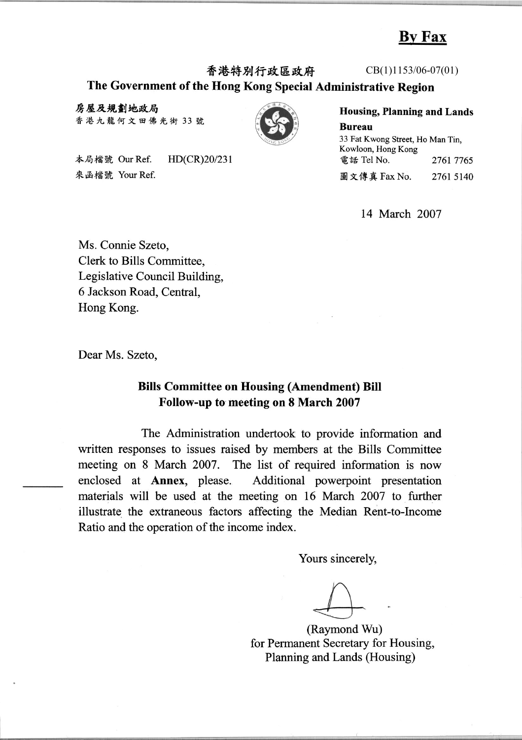## **By Fax**

香港特別行政區政府

# The Government of the Hong Kong Special Administrative Region

房屋及規劃地政局 香港九龍何文田佛光街 33號



本局檔號 Our Ref. HD(CR)20/231 來函檔號 Your Ref.

 $CB(1)1153/06-07(01)$ 

**Housing, Planning and Lands Bureau** 33 Fat Kwong Street, Ho Man Tin,

Kowloon, Hong Kong 電話 Tel No. 2761 7765 圖文傳真 Fax No. 2761 5140

14 March 2007

Ms. Connie Szeto, Clerk to Bills Committee. Legislative Council Building. 6 Jackson Road, Central, Hong Kong.

Dear Ms. Szeto,

#### **Bills Committee on Housing (Amendment) Bill** Follow-up to meeting on 8 March 2007

The Administration undertook to provide information and written responses to issues raised by members at the Bills Committee meeting on 8 March 2007. The list of required information is now enclosed at Annex, please. Additional powerpoint presentation materials will be used at the meeting on 16 March 2007 to further illustrate the extraneous factors affecting the Median Rent-to-Income Ratio and the operation of the income index.

Yours sincerely,

(Raymond Wu) for Permanent Secretary for Housing, Planning and Lands (Housing)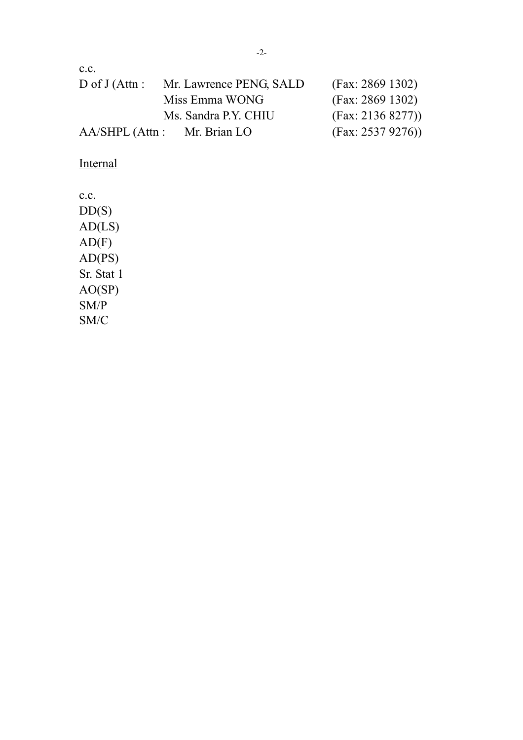| C.C.              |                         |                   |  |
|-------------------|-------------------------|-------------------|--|
| D of $J$ (Attn :  | Mr. Lawrence PENG, SALD | (Fax: 2869 1302)  |  |
|                   | Miss Emma WONG          | (Fax: 2869 1302)  |  |
|                   | Ms. Sandra P.Y. CHIU    | (Fax: 2136 8277)) |  |
| $AA/SHPL$ (Attn : | Mr. Brian LO            | (Fax: 2537 9276)  |  |

**Internal** 

c.c.  $DD(S)$  $AD(LS)$  $AD(F)$  $AD(PS)$ Sr. Stat 1 AO(SP) SM/P SM/C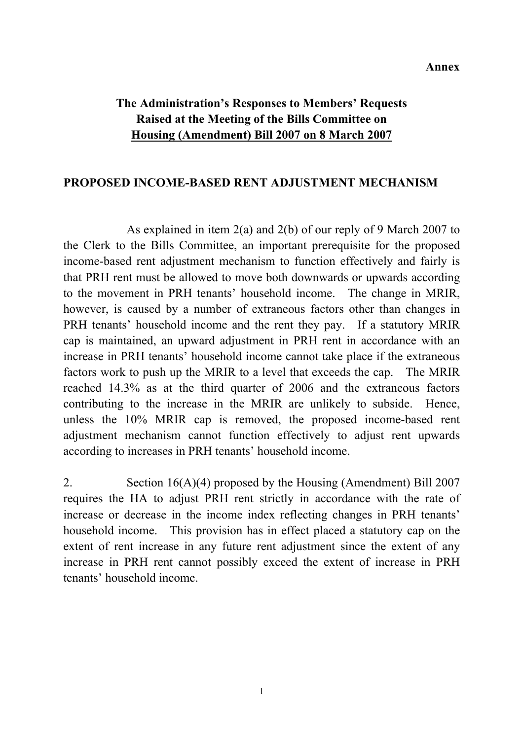## **The Administration's Responses to Members' Requests Raised at the Meeting of the Bills Committee on Housing (Amendment) Bill 2007 on 8 March 2007**

#### **PROPOSED INCOME-BASED RENT ADJUSTMENT MECHANISM**

 As explained in item 2(a) and 2(b) of our reply of 9 March 2007 to the Clerk to the Bills Committee, an important prerequisite for the proposed income-based rent adjustment mechanism to function effectively and fairly is that PRH rent must be allowed to move both downwards or upwards according to the movement in PRH tenants' household income. The change in MRIR, however, is caused by a number of extraneous factors other than changes in PRH tenants' household income and the rent they pay. If a statutory MRIR cap is maintained, an upward adjustment in PRH rent in accordance with an increase in PRH tenants' household income cannot take place if the extraneous factors work to push up the MRIR to a level that exceeds the cap. The MRIR reached 14.3% as at the third quarter of 2006 and the extraneous factors contributing to the increase in the MRIR are unlikely to subside. Hence, unless the 10% MRIR cap is removed, the proposed income-based rent adjustment mechanism cannot function effectively to adjust rent upwards according to increases in PRH tenants' household income.

2. Section 16(A)(4) proposed by the Housing (Amendment) Bill 2007 requires the HA to adjust PRH rent strictly in accordance with the rate of increase or decrease in the income index reflecting changes in PRH tenants' household income. This provision has in effect placed a statutory cap on the extent of rent increase in any future rent adjustment since the extent of any increase in PRH rent cannot possibly exceed the extent of increase in PRH tenants' household income.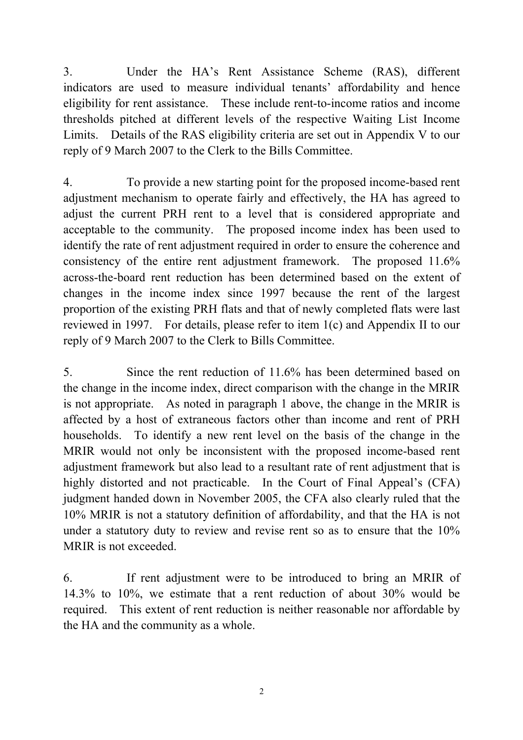3. Under the HA's Rent Assistance Scheme (RAS), different indicators are used to measure individual tenants' affordability and hence eligibility for rent assistance. These include rent-to-income ratios and income thresholds pitched at different levels of the respective Waiting List Income Limits. Details of the RAS eligibility criteria are set out in Appendix V to our reply of 9 March 2007 to the Clerk to the Bills Committee.

4. To provide a new starting point for the proposed income-based rent adjustment mechanism to operate fairly and effectively, the HA has agreed to adjust the current PRH rent to a level that is considered appropriate and acceptable to the community. The proposed income index has been used to identify the rate of rent adjustment required in order to ensure the coherence and consistency of the entire rent adjustment framework. The proposed 11.6% across-the-board rent reduction has been determined based on the extent of changes in the income index since 1997 because the rent of the largest proportion of the existing PRH flats and that of newly completed flats were last reviewed in 1997. For details, please refer to item 1(c) and Appendix II to our reply of 9 March 2007 to the Clerk to Bills Committee.

5. Since the rent reduction of 11.6% has been determined based on the change in the income index, direct comparison with the change in the MRIR is not appropriate. As noted in paragraph 1 above, the change in the MRIR is affected by a host of extraneous factors other than income and rent of PRH households. To identify a new rent level on the basis of the change in the MRIR would not only be inconsistent with the proposed income-based rent adjustment framework but also lead to a resultant rate of rent adjustment that is highly distorted and not practicable. In the Court of Final Appeal's (CFA) judgment handed down in November 2005, the CFA also clearly ruled that the 10% MRIR is not a statutory definition of affordability, and that the HA is not under a statutory duty to review and revise rent so as to ensure that the 10% MRIR is not exceeded.

6. If rent adjustment were to be introduced to bring an MRIR of 14.3% to 10%, we estimate that a rent reduction of about 30% would be required. This extent of rent reduction is neither reasonable nor affordable by the HA and the community as a whole.